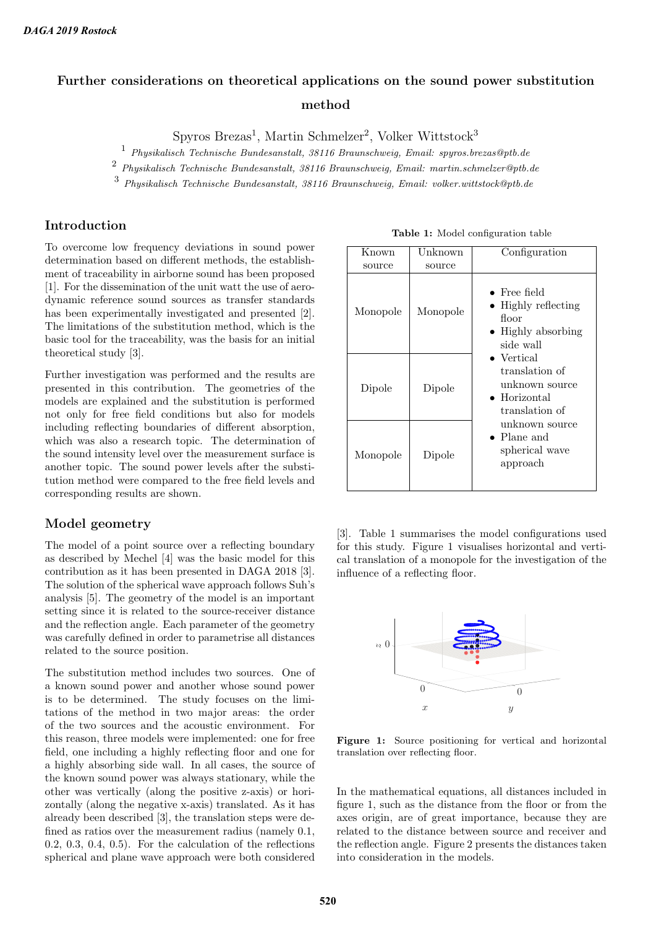# Further considerations on theoretical applications on the sound power substitution method

 $S$ pyros Brezas<sup>1</sup>, Martin Schmelzer<sup>2</sup>, Volker Wittstock<sup>3</sup>

<sup>1</sup> Physikalisch Technische Bundesanstalt, 38116 Braunschweig, Email: spyros.brezas@ptb.de

<sup>2</sup> Physikalisch Technische Bundesanstalt, 38116 Braunschweig, Email: martin.schmelzer@ptb.de

<sup>3</sup> Physikalisch Technische Bundesanstalt, 38116 Braunschweig, Email: volker.wittstock@ptb.de

# Introduction

To overcome low frequency deviations in sound power determination based on different methods, the establishment of traceability in airborne sound has been proposed [1]. For the dissemination of the unit watt the use of aerodynamic reference sound sources as transfer standards has been experimentally investigated and presented [2]. The limitations of the substitution method, which is the basic tool for the traceability, was the basis for an initial theoretical study [3].

Further investigation was performed and the results are presented in this contribution. The geometries of the models are explained and the substitution is performed not only for free field conditions but also for models including reflecting boundaries of different absorption, which was also a research topic. The determination of the sound intensity level over the measurement surface is another topic. The sound power levels after the substitution method were compared to the free field levels and corresponding results are shown.

# Model geometry

The model of a point source over a reflecting boundary as described by Mechel [4] was the basic model for this contribution as it has been presented in DAGA 2018 [3]. The solution of the spherical wave approach follows Suh's analysis [5]. The geometry of the model is an important setting since it is related to the source-receiver distance and the reflection angle. Each parameter of the geometry was carefully defined in order to parametrise all distances related to the source position.

The substitution method includes two sources. One of a known sound power and another whose sound power is to be determined. The study focuses on the limitations of the method in two major areas: the order of the two sources and the acoustic environment. For this reason, three models were implemented: one for free field, one including a highly reflecting floor and one for a highly absorbing side wall. In all cases, the source of the known sound power was always stationary, while the other was vertically (along the positive z-axis) or horizontally (along the negative x-axis) translated. As it has already been described [3], the translation steps were defined as ratios over the measurement radius (namely 0.1, 0.2, 0.3, 0.4, 0.5). For the calculation of the reflections spherical and plane wave approach were both considered

| <b>Table 1:</b> Model configuration table |  |
|-------------------------------------------|--|
|-------------------------------------------|--|

| Known    | Unknown  | Configuration                                                                                                                                                                                                                                                      |
|----------|----------|--------------------------------------------------------------------------------------------------------------------------------------------------------------------------------------------------------------------------------------------------------------------|
| source   | source   |                                                                                                                                                                                                                                                                    |
| Monopole | Monopole | $\bullet$ Free field<br>• Highly reflecting<br>floor<br>• Highly absorbing<br>side wall<br>$\bullet$ Vertical<br>translation of<br>unknown source<br>$\bullet$ Horizontal<br>translation of<br>unknown source<br>$\bullet$ Plane and<br>spherical wave<br>approach |
| Dipole   | Dipole   |                                                                                                                                                                                                                                                                    |
| Monopole | Dipole   |                                                                                                                                                                                                                                                                    |

[3]. Table 1 summarises the model configurations used for this study. Figure 1 visualises horizontal and vertical translation of a monopole for the investigation of the influence of a reflecting floor.



Figure 1: Source positioning for vertical and horizontal translation over reflecting floor.

In the mathematical equations, all distances included in figure 1, such as the distance from the floor or from the axes origin, are of great importance, because they are related to the distance between source and receiver and the reflection angle. Figure 2 presents the distances taken into consideration in the models.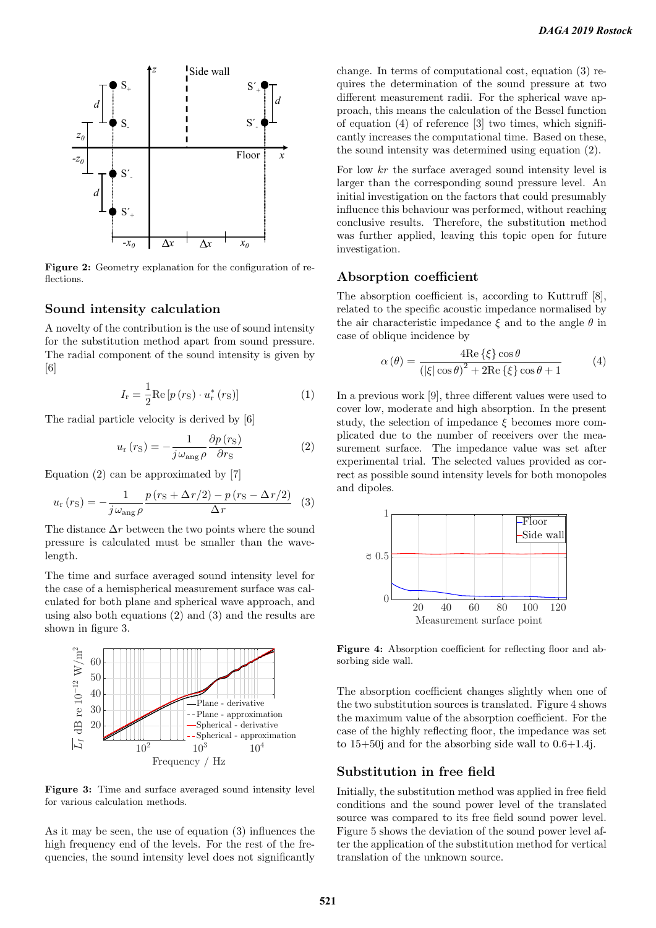

Figure 2: Geometry explanation for the configuration of reflections.

#### Sound intensity calculation

A novelty of the contribution is the use of sound intensity for the substitution method apart from sound pressure. The radial component of the sound intensity is given by [6]

$$
I_{\rm r} = \frac{1}{2} \text{Re} \left[ p \left( r_{\rm S} \right) \cdot u_{\rm r}^* \left( r_{\rm S} \right) \right] \tag{1}
$$

The radial particle velocity is derived by [6]

$$
u_{\rm r}(r_{\rm S}) = -\frac{1}{j\omega_{\rm ang}\rho} \frac{\partial p(r_{\rm S})}{\partial r_{\rm S}}\tag{2}
$$

Equation (2) can be approximated by [7]

$$
u_{\rm r}(r_{\rm S}) = -\frac{1}{j\omega_{\rm ang}\rho} \frac{p(r_{\rm S} + \Delta r/2) - p(r_{\rm S} - \Delta r/2)}{\Delta r} \tag{3}
$$

The distance  $\Delta r$  between the two points where the sound pressure is calculated must be smaller than the wavelength.

The time and surface averaged sound intensity level for the case of a hemispherical measurement surface was calculated for both plane and spherical wave approach, and using also both equations (2) and (3) and the results are shown in figure 3.



Figure 3: Time and surface averaged sound intensity level for various calculation methods.

As it may be seen, the use of equation (3) influences the high frequency end of the levels. For the rest of the frequencies, the sound intensity level does not significantly

change. In terms of computational cost, equation (3) requires the determination of the sound pressure at two different measurement radii. For the spherical wave approach, this means the calculation of the Bessel function of equation (4) of reference [3] two times, which significantly increases the computational time. Based on these, the sound intensity was determined using equation (2).

For low kr the surface averaged sound intensity level is larger than the corresponding sound pressure level. An initial investigation on the factors that could presumably influence this behaviour was performed, without reaching conclusive results. Therefore, the substitution method was further applied, leaving this topic open for future investigation.

#### Absorption coefficient

The absorption coefficient is, according to Kuttruff [8], related to the specific acoustic impedance normalised by the air characteristic impedance  $\xi$  and to the angle  $\theta$  in case of oblique incidence by

$$
\alpha(\theta) = \frac{4\text{Re}\{\xi\}\cos\theta}{\left(|\xi|\cos\theta\right)^2 + 2\text{Re}\{\xi\}\cos\theta + 1}
$$
(4)

In a previous work [9], three different values were used to cover low, moderate and high absorption. In the present study, the selection of impedance  $\xi$  becomes more complicated due to the number of receivers over the measurement surface. The impedance value was set after experimental trial. The selected values provided as correct as possible sound intensity levels for both monopoles and dipoles.



Figure 4: Absorption coefficient for reflecting floor and absorbing side wall.

The absorption coefficient changes slightly when one of the two substitution sources is translated. Figure 4 shows the maximum value of the absorption coefficient. For the case of the highly reflecting floor, the impedance was set to  $15+50$  and for the absorbing side wall to  $0.6+1.4$ j.

# Substitution in free field

Initially, the substitution method was applied in free field conditions and the sound power level of the translated source was compared to its free field sound power level. Figure 5 shows the deviation of the sound power level after the application of the substitution method for vertical translation of the unknown source.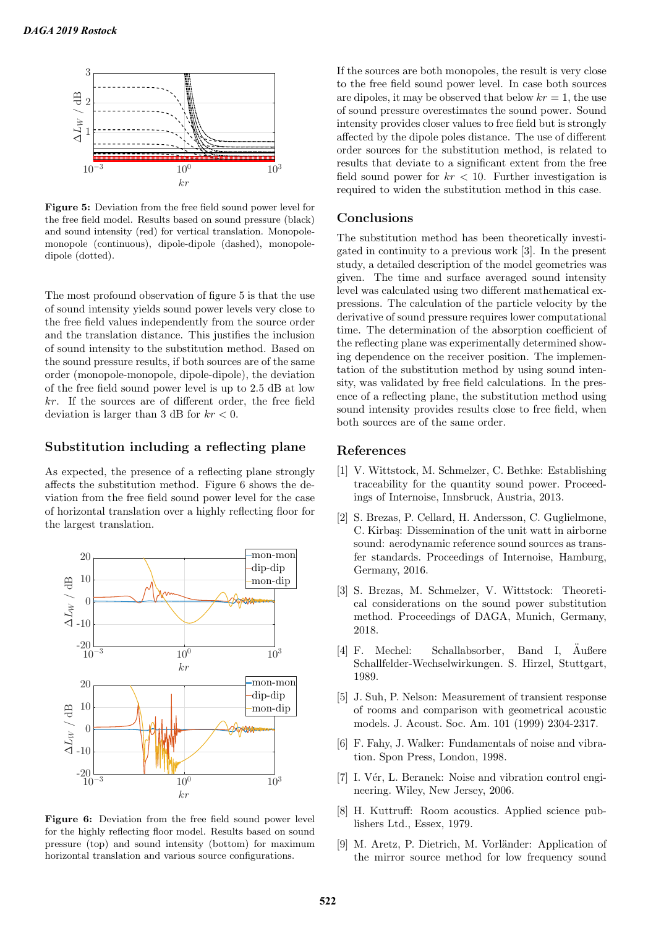

Figure 5: Deviation from the free field sound power level for the free field model. Results based on sound pressure (black) and sound intensity (red) for vertical translation. Monopolemonopole (continuous), dipole-dipole (dashed), monopoledipole (dotted).

The most profound observation of figure 5 is that the use of sound intensity yields sound power levels very close to the free field values independently from the source order and the translation distance. This justifies the inclusion of sound intensity to the substitution method. Based on the sound pressure results, if both sources are of the same order (monopole-monopole, dipole-dipole), the deviation of the free field sound power level is up to 2.5 dB at low kr. If the sources are of different order, the free field deviation is larger than 3 dB for  $kr < 0$ .

## Substitution including a reflecting plane

As expected, the presence of a reflecting plane strongly affects the substitution method. Figure 6 shows the deviation from the free field sound power level for the case of horizontal translation over a highly reflecting floor for the largest translation.



Figure 6: Deviation from the free field sound power level for the highly reflecting floor model. Results based on sound pressure (top) and sound intensity (bottom) for maximum horizontal translation and various source configurations.

If the sources are both monopoles, the result is very close to the free field sound power level. In case both sources are dipoles, it may be observed that below  $kr = 1$ , the use of sound pressure overestimates the sound power. Sound intensity provides closer values to free field but is strongly affected by the dipole poles distance. The use of different order sources for the substitution method, is related to results that deviate to a significant extent from the free field sound power for  $kr < 10$ . Further investigation is required to widen the substitution method in this case.

#### Conclusions

The substitution method has been theoretically investigated in continuity to a previous work [3]. In the present study, a detailed description of the model geometries was given. The time and surface averaged sound intensity level was calculated using two different mathematical expressions. The calculation of the particle velocity by the derivative of sound pressure requires lower computational time. The determination of the absorption coefficient of the reflecting plane was experimentally determined showing dependence on the receiver position. The implementation of the substitution method by using sound intensity, was validated by free field calculations. In the presence of a reflecting plane, the substitution method using sound intensity provides results close to free field, when both sources are of the same order.

## References

- [1] V. Wittstock, M. Schmelzer, C. Bethke: Establishing traceability for the quantity sound power. Proceedings of Internoise, Innsbruck, Austria, 2013.
- [2] S. Brezas, P. Cellard, H. Andersson, C. Guglielmone, C. Kirbaş: Dissemination of the unit watt in airborne sound: aerodynamic reference sound sources as transfer standards. Proceedings of Internoise, Hamburg, Germany, 2016.
- [3] S. Brezas, M. Schmelzer, V. Wittstock: Theoretical considerations on the sound power substitution method. Proceedings of DAGA, Munich, Germany, 2018.
- [4] F. Mechel: Schallabsorber, Band I.  $\ddot{A}$ ußere Schallfelder-Wechselwirkungen. S. Hirzel, Stuttgart, 1989.
- [5] J. Suh, P. Nelson: Measurement of transient response of rooms and comparison with geometrical acoustic models. J. Acoust. Soc. Am. 101 (1999) 2304-2317.
- [6] F. Fahy, J. Walker: Fundamentals of noise and vibration. Spon Press, London, 1998.
- [7] I. Vér, L. Beranek: Noise and vibration control engineering. Wiley, New Jersey, 2006.
- [8] H. Kuttruff: Room acoustics. Applied science publishers Ltd., Essex, 1979.
- [9] M. Aretz, P. Dietrich, M. Vorländer: Application of the mirror source method for low frequency sound